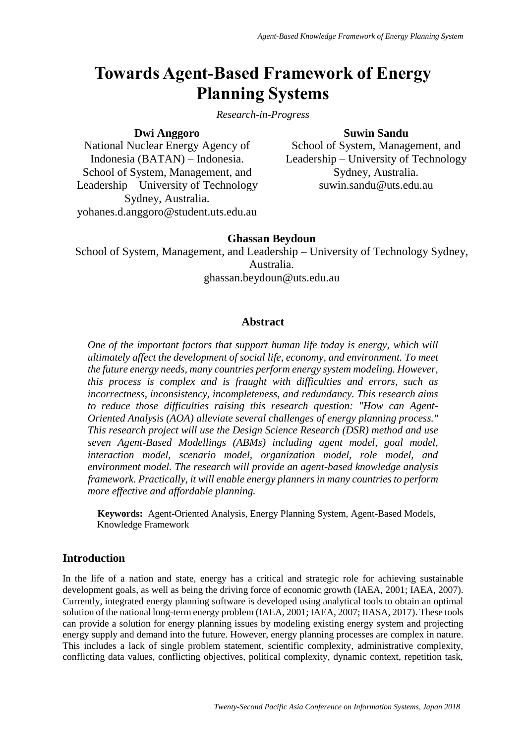# **Towards Agent-Based Framework of Energy Planning Systems**

## *Research-in-Progress*

# **Suwin Sandu**

National Nuclear Energy Agency of Indonesia (BATAN) – Indonesia. School of System, Management, and Leadership – University of Technology Sydney, Australia. yohanes.d.anggoro@student.uts.edu.au

**Dwi Anggoro**

School of System, Management, and Leadership – University of Technology Sydney, Australia. suwin.sandu@uts.edu.au

# **Ghassan Beydoun**

School of System, Management, and Leadership – University of Technology Sydney, Australia.

ghassan.beydoun@uts.edu.au

## **Abstract**

*One of the important factors that support human life today is energy, which will ultimately affect the development of social life, economy, and environment. To meet the future energy needs, many countries perform energy system modeling. However, this process is complex and is fraught with difficulties and errors, such as incorrectness, inconsistency, incompleteness, and redundancy. This research aims to reduce those difficulties raising this research question: "How can Agent-Oriented Analysis (AOA) alleviate several challenges of energy planning process." This research project will use the Design Science Research (DSR) method and use seven Agent-Based Modellings (ABMs) including agent model, goal model, interaction model, scenario model, organization model, role model, and environment model. The research will provide an agent-based knowledge analysis framework. Practically, it will enable energy planners in many countries to perform more effective and affordable planning.*

**Keywords:** Agent-Oriented Analysis, Energy Planning System, Agent-Based Models, Knowledge Framework

# **Introduction**

In the life of a nation and state, energy has a critical and strategic role for achieving sustainable development goals, as well as being the driving force of economic growth (IAEA, 2001; IAEA, 2007). Currently, integrated energy planning software is developed using analytical tools to obtain an optimal solution of the national long-term energy problem (IAEA, 2001; IAEA, 2007; IIASA, 2017). These tools can provide a solution for energy planning issues by modeling existing energy system and projecting energy supply and demand into the future. However, energy planning processes are complex in nature. This includes a lack of single problem statement, scientific complexity, administrative complexity, conflicting data values, conflicting objectives, political complexity, dynamic context, repetition task,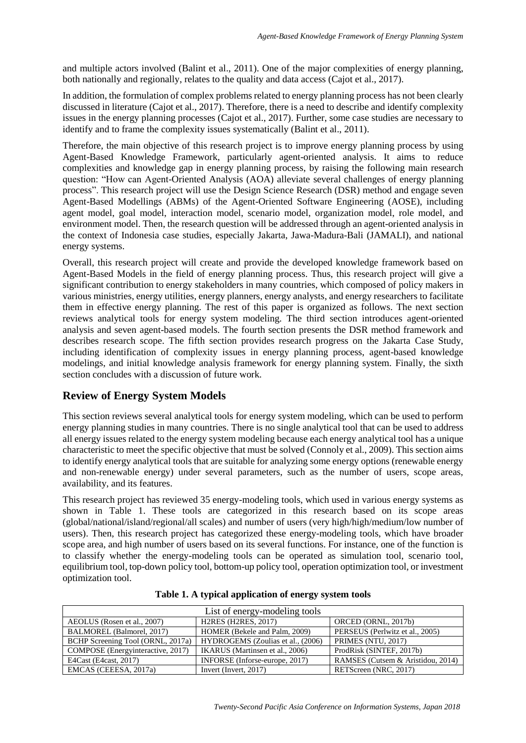and multiple actors involved (Balint et al., 2011). One of the major complexities of energy planning, both nationally and regionally, relates to the quality and data access (Cajot et al., 2017).

In addition, the formulation of complex problems related to energy planning process has not been clearly discussed in literature (Cajot et al., 2017). Therefore, there is a need to describe and identify complexity issues in the energy planning processes (Cajot et al., 2017). Further, some case studies are necessary to identify and to frame the complexity issues systematically (Balint et al., 2011).

Therefore, the main objective of this research project is to improve energy planning process by using Agent-Based Knowledge Framework, particularly agent-oriented analysis. It aims to reduce complexities and knowledge gap in energy planning process, by raising the following main research question: "How can Agent-Oriented Analysis (AOA) alleviate several challenges of energy planning process". This research project will use the Design Science Research (DSR) method and engage seven Agent-Based Modellings (ABMs) of the Agent-Oriented Software Engineering (AOSE), including agent model, goal model, interaction model, scenario model, organization model, role model, and environment model. Then, the research question will be addressed through an agent-oriented analysis in the context of Indonesia case studies, especially Jakarta, Jawa-Madura-Bali (JAMALI), and national energy systems.

Overall, this research project will create and provide the developed knowledge framework based on Agent-Based Models in the field of energy planning process. Thus, this research project will give a significant contribution to energy stakeholders in many countries, which composed of policy makers in various ministries, energy utilities, energy planners, energy analysts, and energy researchers to facilitate them in effective energy planning. The rest of this paper is organized as follows. The next section reviews analytical tools for energy system modeling. The third section introduces agent-oriented analysis and seven agent-based models. The fourth section presents the DSR method framework and describes research scope. The fifth section provides research progress on the Jakarta Case Study, including identification of complexity issues in energy planning process, agent-based knowledge modelings, and initial knowledge analysis framework for energy planning system. Finally, the sixth section concludes with a discussion of future work.

# **Review of Energy System Models**

This section reviews several analytical tools for energy system modeling, which can be used to perform energy planning studies in many countries. There is no single analytical tool that can be used to address all energy issues related to the energy system modeling because each energy analytical tool has a unique characteristic to meet the specific objective that must be solved (Connoly et al., 2009). This section aims to identify energy analytical tools that are suitable for analyzing some energy options (renewable energy and non-renewable energy) under several parameters, such as the number of users, scope areas, availability, and its features.

This research project has reviewed 35 energy-modeling tools, which used in various energy systems as shown in Table 1. These tools are categorized in this research based on its scope areas (global/national/island/regional/all scales) and number of users (very high/high/medium/low number of users). Then, this research project has categorized these energy-modeling tools, which have broader scope area, and high number of users based on its several functions. For instance, one of the function is to classify whether the energy-modeling tools can be operated as simulation tool, scenario tool, equilibrium tool, top-down policy tool, bottom-up policy tool, operation optimization tool, or investment optimization tool.

| List of energy-modeling tools     |                                   |                                   |  |  |
|-----------------------------------|-----------------------------------|-----------------------------------|--|--|
| AEOLUS (Rosen et al., 2007)       | <b>H2RES (H2RES, 2017)</b>        | ORCED (ORNL, 2017b)               |  |  |
| BALMOREL (Balmorel, 2017)         | HOMER (Bekele and Palm, 2009)     | PERSEUS (Perlwitz et al., 2005)   |  |  |
| BCHP Screening Tool (ORNL, 2017a) | HYDROGEMS (Zoulias et al., (2006) | PRIMES (NTU, 2017)                |  |  |
| COMPOSE (Energyinteractive, 2017) | IKARUS (Martinsen et al., 2006)   | ProdRisk (SINTEF, 2017b)          |  |  |
| E4Cast (E4cast, 2017)             | INFORSE (Inforse-europe, 2017)    | RAMSES (Cutsem & Aristidou, 2014) |  |  |
| EMCAS (CEEESA, 2017a)             | Invert (Invert, 2017)             | RETScreen (NRC, 2017)             |  |  |

|  |  | Table 1. A typical application of energy system tools |  |
|--|--|-------------------------------------------------------|--|
|--|--|-------------------------------------------------------|--|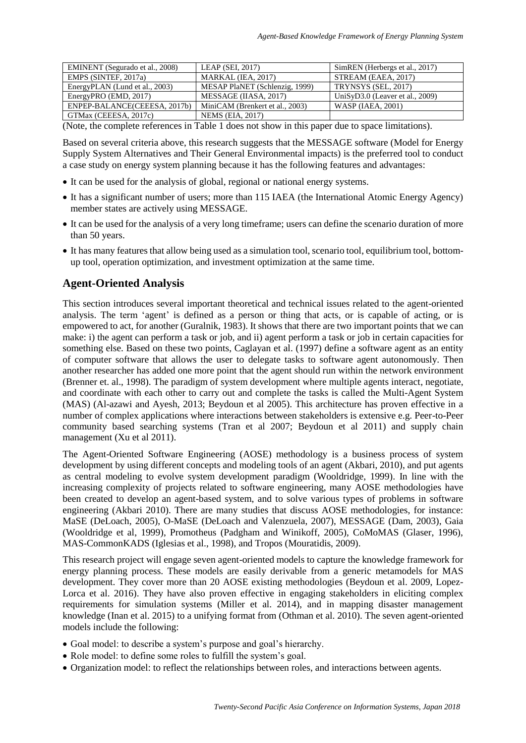| EMINENT (Segurado et al., 2008) | LEAP (SEI, $2017$ )             | SimREN (Herbergs et al., 2017)     |
|---------------------------------|---------------------------------|------------------------------------|
| EMPS (SINTEF, 2017a)            | MARKAL (IEA, 2017)              | STREAM (EAEA, 2017)                |
| EnergyPLAN (Lund et al., 2003)  | MESAP PlaNET (Schlenzig, 1999)  | TRYNSYS (SEL, 2017)                |
| EnergyPRO (EMD, 2017)           | MESSAGE (IIASA, 2017)           | UniSyD $3.0$ (Leaver et al., 2009) |
| ENPEP-BALANCE(CEEESA, 2017b)    | MiniCAM (Brenkert et al., 2003) | <b>WASP (IAEA, 2001)</b>           |
| GTMax (CEEESA, 2017c)           | <b>NEMS</b> (EIA, 2017)         |                                    |

(Note, the complete references in Table 1 does not show in this paper due to space limitations).

Based on several criteria above, this research suggests that the MESSAGE software (Model for Energy Supply System Alternatives and Their General Environmental impacts) is the preferred tool to conduct a case study on energy system planning because it has the following features and advantages:

- It can be used for the analysis of global, regional or national energy systems.
- It has a significant number of users; more than 115 IAEA (the International Atomic Energy Agency) member states are actively using MESSAGE.
- It can be used for the analysis of a very long timeframe; users can define the scenario duration of more than 50 years.
- It has many features that allow being used as a simulation tool, scenario tool, equilibrium tool, bottomup tool, operation optimization, and investment optimization at the same time.

# **Agent-Oriented Analysis**

This section introduces several important theoretical and technical issues related to the agent-oriented analysis. The term 'agent' is defined as a person or thing that acts, or is capable of acting, or is empowered to act, for another (Guralnik, 1983). It shows that there are two important points that we can make: i) the agent can perform a task or job, and ii) agent perform a task or job in certain capacities for something else. Based on these two points, Caglayan et al. (1997) define a software agent as an entity of computer software that allows the user to delegate tasks to software agent autonomously. Then another researcher has added one more point that the agent should run within the network environment (Brenner et. al., 1998). The paradigm of system development where multiple agents interact, negotiate, and coordinate with each other to carry out and complete the tasks is called the Multi-Agent System (MAS) (Al-azawi and Ayesh, 2013; Beydoun et al 2005). This architecture has proven effective in a number of complex applications where interactions between stakeholders is extensive e.g. Peer-to-Peer community based searching systems (Tran et al 2007; Beydoun et al 2011) and supply chain management (Xu et al 2011).

The Agent-Oriented Software Engineering (AOSE) methodology is a business process of system development by using different concepts and modeling tools of an agent (Akbari, 2010), and put agents as central modeling to evolve system development paradigm (Wooldridge, 1999). In line with the increasing complexity of projects related to software engineering, many AOSE methodologies have been created to develop an agent-based system, and to solve various types of problems in software engineering (Akbari 2010). There are many studies that discuss AOSE methodologies, for instance: MaSE (DeLoach, 2005), O-MaSE (DeLoach and Valenzuela, 2007), MESSAGE (Dam, 2003), Gaia (Wooldridge et al, 1999), Promotheus (Padgham and Winikoff, 2005), CoMoMAS (Glaser, 1996), MAS-CommonKADS (Iglesias et al., 1998), and Tropos (Mouratidis, 2009).

This research project will engage seven agent-oriented models to capture the knowledge framework for energy planning process. These models are easily derivable from a generic metamodels for MAS development. They cover more than 20 AOSE existing methodologies (Beydoun et al. 2009, Lopez-Lorca et al. 2016). They have also proven effective in engaging stakeholders in eliciting complex requirements for simulation systems (Miller et al. 2014), and in mapping disaster management knowledge (Inan et al. 2015) to a unifying format from (Othman et al. 2010). The seven agent-oriented models include the following:

- Goal model: to describe a system's purpose and goal's hierarchy.
- Role model: to define some roles to fulfill the system's goal.
- Organization model: to reflect the relationships between roles, and interactions between agents.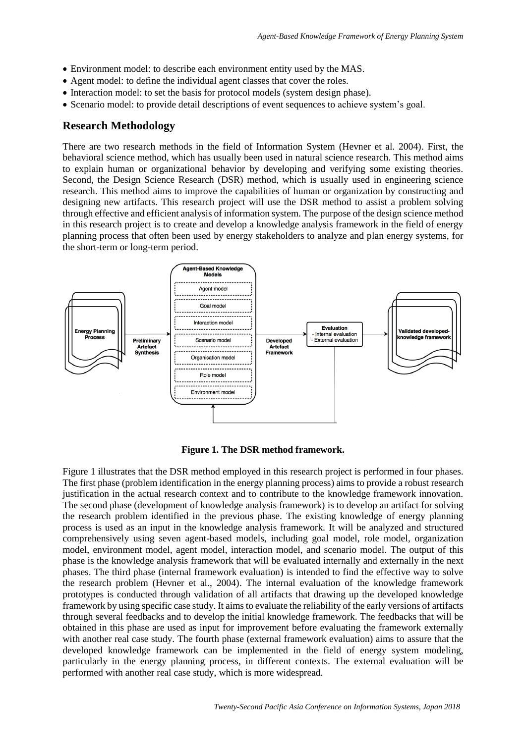- Environment model: to describe each environment entity used by the MAS.
- Agent model: to define the individual agent classes that cover the roles.
- Interaction model: to set the basis for protocol models (system design phase).
- Scenario model: to provide detail descriptions of event sequences to achieve system's goal.

#### **Research Methodology**

There are two research methods in the field of Information System (Hevner et al. 2004). First, the behavioral science method, which has usually been used in natural science research. This method aims to explain human or organizational behavior by developing and verifying some existing theories. Second, the Design Science Research (DSR) method, which is usually used in engineering science research. This method aims to improve the capabilities of human or organization by constructing and designing new artifacts. This research project will use the DSR method to assist a problem solving through effective and efficient analysis of information system. The purpose of the design science method in this research project is to create and develop a knowledge analysis framework in the field of energy planning process that often been used by energy stakeholders to analyze and plan energy systems, for the short-term or long-term period.



**Figure 1. The DSR method framework.**

Figure 1 illustrates that the DSR method employed in this research project is performed in four phases. The first phase (problem identification in the energy planning process) aims to provide a robust research justification in the actual research context and to contribute to the knowledge framework innovation. The second phase (development of knowledge analysis framework) is to develop an artifact for solving the research problem identified in the previous phase. The existing knowledge of energy planning process is used as an input in the knowledge analysis framework. It will be analyzed and structured comprehensively using seven agent-based models, including goal model, role model, organization model, environment model, agent model, interaction model, and scenario model. The output of this phase is the knowledge analysis framework that will be evaluated internally and externally in the next phases. The third phase (internal framework evaluation) is intended to find the effective way to solve the research problem (Hevner et al., 2004). The internal evaluation of the knowledge framework prototypes is conducted through validation of all artifacts that drawing up the developed knowledge framework by using specific case study. It aims to evaluate the reliability of the early versions of artifacts through several feedbacks and to develop the initial knowledge framework. The feedbacks that will be obtained in this phase are used as input for improvement before evaluating the framework externally with another real case study. The fourth phase (external framework evaluation) aims to assure that the developed knowledge framework can be implemented in the field of energy system modeling, particularly in the energy planning process, in different contexts. The external evaluation will be performed with another real case study, which is more widespread.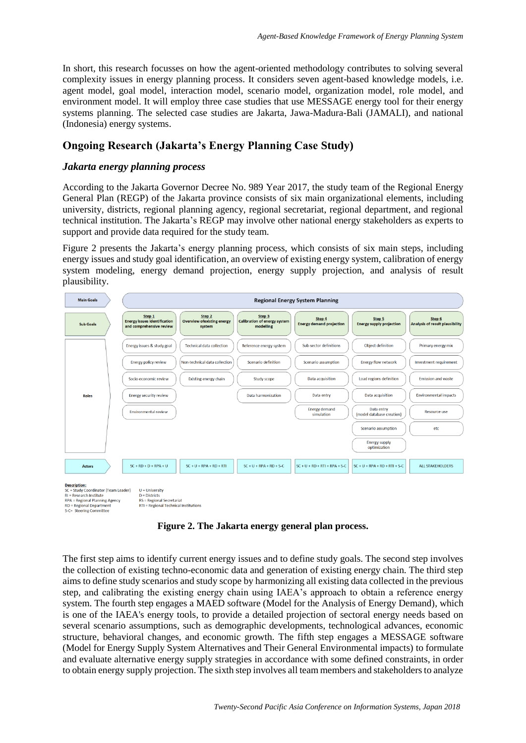In short, this research focusses on how the agent-oriented methodology contributes to solving several complexity issues in energy planning process. It considers seven agent-based knowledge models, i.e. agent model, goal model, interaction model, scenario model, organization model, role model, and environment model. It will employ three case studies that use MESSAGE energy tool for their energy systems planning. The selected case studies are Jakarta, Jawa-Madura-Bali (JAMALI), and national (Indonesia) energy systems.

# **Ongoing Research (Jakarta's Energy Planning Case Study)**

#### *Jakarta energy planning process*

According to the Jakarta Governor Decree No. 989 Year 2017, the study team of the Regional Energy General Plan (REGP) of the Jakarta province consists of six main organizational elements, including university, districts, regional planning agency, regional secretariat, regional department, and regional technical institution. The Jakarta's REGP may involve other national energy stakeholders as experts to support and provide data required for the study team.

Figure 2 presents the Jakarta's energy planning process, which consists of six main steps, including energy issues and study goal identification, an overview of existing energy system, calibration of energy system modeling, energy demand projection, energy supply projection, and analysis of result plausibility.



**Figure 2. The Jakarta energy general plan process.**

The first step aims to identify current energy issues and to define study goals. The second step involves the collection of existing techno-economic data and generation of existing energy chain. The third step aims to define study scenarios and study scope by harmonizing all existing data collected in the previous step, and calibrating the existing energy chain using IAEA's approach to obtain a reference energy system. The fourth step engages a MAED software (Model for the Analysis of Energy Demand), which is one of the IAEA's energy tools, to provide a detailed projection of sectoral energy needs based on several scenario assumptions, such as demographic developments, technological advances, economic structure, behavioral changes, and economic growth. The fifth step engages a MESSAGE software (Model for Energy Supply System Alternatives and Their General Environmental impacts) to formulate and evaluate alternative energy supply strategies in accordance with some defined constraints, in order to obtain energy supply projection. The sixth step involves all team members and stakeholders to analyze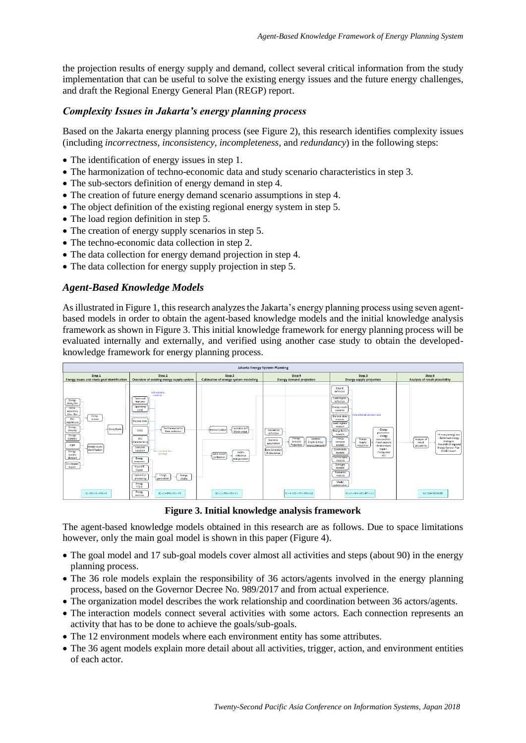the projection results of energy supply and demand, collect several critical information from the study implementation that can be useful to solve the existing energy issues and the future energy challenges, and draft the Regional Energy General Plan (REGP) report.

# *Complexity Issues in Jakarta's energy planning process*

Based on the Jakarta energy planning process (see Figure 2), this research identifies complexity issues (including *incorrectness, inconsistency, incompleteness,* and *redundancy*) in the following steps:

- The identification of energy issues in step 1.
- The harmonization of techno-economic data and study scenario characteristics in step 3.
- The sub-sectors definition of energy demand in step 4.
- The creation of future energy demand scenario assumptions in step 4.
- The object definition of the existing regional energy system in step 5.
- The load region definition in step 5.
- The creation of energy supply scenarios in step 5.
- The techno-economic data collection in step 2.
- The data collection for energy demand projection in step 4.
- The data collection for energy supply projection in step 5.

## *Agent-Based Knowledge Models*

As illustrated in Figure 1, this research analyzes the Jakarta's energy planning process using seven agentbased models in order to obtain the agent-based knowledge models and the initial knowledge analysis framework as shown in Figure 3. This initial knowledge framework for energy planning process will be evaluated internally and externally, and verified using another case study to obtain the developedknowledge framework for energy planning process.



**Figure 3. Initial knowledge analysis framework**

The agent-based knowledge models obtained in this research are as follows. Due to space limitations however, only the main goal model is shown in this paper (Figure 4).

- The goal model and 17 sub-goal models cover almost all activities and steps (about 90) in the energy planning process.
- The 36 role models explain the responsibility of 36 actors/agents involved in the energy planning process, based on the Governor Decree No. 989/2017 and from actual experience.
- The organization model describes the work relationship and coordination between 36 actors/agents.
- The interaction models connect several activities with some actors. Each connection represents an activity that has to be done to achieve the goals/sub-goals.
- The 12 environment models where each environment entity has some attributes.
- The 36 agent models explain more detail about all activities, trigger, action, and environment entities of each actor.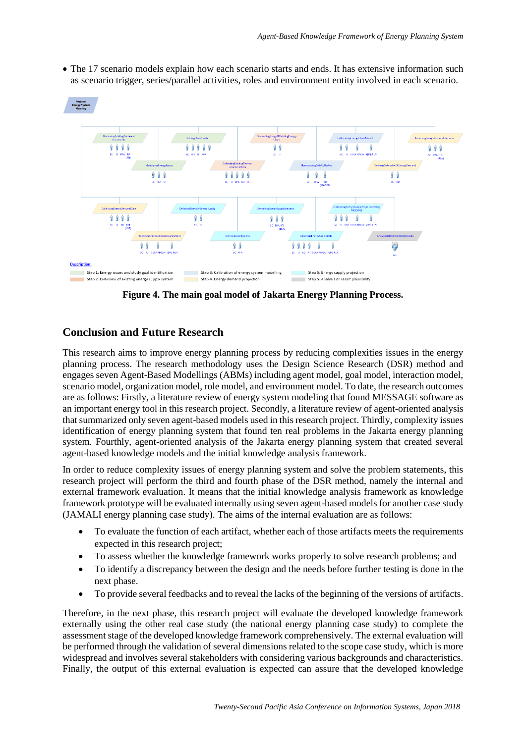

• The 17 scenario models explain how each scenario starts and ends. It has extensive information such as scenario trigger, series/parallel activities, roles and environment entity involved in each scenario.

**Figure 4. The main goal model of Jakarta Energy Planning Process.**

# **Conclusion and Future Research**

This research aims to improve energy planning process by reducing complexities issues in the energy planning process. The research methodology uses the Design Science Research (DSR) method and engages seven Agent-Based Modellings (ABMs) including agent model, goal model, interaction model, scenario model, organization model, role model, and environment model. To date, the research outcomes are as follows: Firstly, a literature review of energy system modeling that found MESSAGE software as an important energy tool in this research project. Secondly, a literature review of agent-oriented analysis that summarized only seven agent-based models used in this research project. Thirdly, complexity issues identification of energy planning system that found ten real problems in the Jakarta energy planning system. Fourthly, agent-oriented analysis of the Jakarta energy planning system that created several agent-based knowledge models and the initial knowledge analysis framework.

In order to reduce complexity issues of energy planning system and solve the problem statements, this research project will perform the third and fourth phase of the DSR method, namely the internal and external framework evaluation. It means that the initial knowledge analysis framework as knowledge framework prototype will be evaluated internally using seven agent-based models for another case study (JAMALI energy planning case study). The aims of the internal evaluation are as follows:

- To evaluate the function of each artifact, whether each of those artifacts meets the requirements expected in this research project;
- To assess whether the knowledge framework works properly to solve research problems; and
- To identify a discrepancy between the design and the needs before further testing is done in the next phase.
- To provide several feedbacks and to reveal the lacks of the beginning of the versions of artifacts.

Therefore, in the next phase, this research project will evaluate the developed knowledge framework externally using the other real case study (the national energy planning case study) to complete the assessment stage of the developed knowledge framework comprehensively. The external evaluation will be performed through the validation of several dimensions related to the scope case study, which is more widespread and involves several stakeholders with considering various backgrounds and characteristics. Finally, the output of this external evaluation is expected can assure that the developed knowledge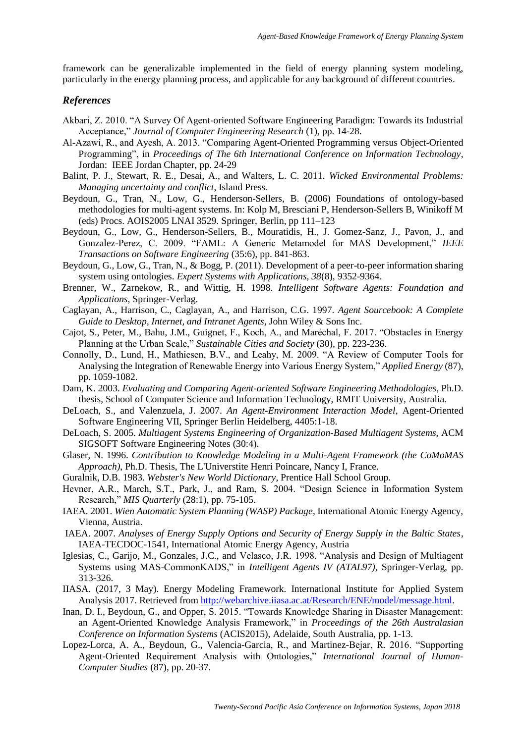framework can be generalizable implemented in the field of energy planning system modeling, particularly in the energy planning process, and applicable for any background of different countries.

#### *References*

- Akbari, Z. 2010. "A Survey Of Agent-oriented Software Engineering Paradigm: Towards its Industrial Acceptance," *Journal of Computer Engineering Research* (1), pp. 14-28.
- Al-Azawi, R., and Ayesh, A. 2013. "Comparing Agent-Oriented Programming versus Object-Oriented Programming", in *Proceedings of The 6th International Conference on Information Technology*, Jordan: IEEE Jordan Chapter, pp. 24-29
- Balint, P. J., Stewart, R. E., Desai, A., and Walters, L. C. 2011. *Wicked Environmental Problems: Managing uncertainty and conflict*, Island Press.
- Beydoun, G., Tran, N., Low, G., Henderson-Sellers, B. (2006) Foundations of ontology-based methodologies for multi-agent systems. In: Kolp M, Bresciani P, Henderson-Sellers B, Winikoff M (eds) Procs. AOIS2005 LNAI 3529. Springer, Berlin, pp 111–123
- Beydoun, G., Low, G., Henderson-Sellers, B., Mouratidis, H., J. Gomez-Sanz, J., Pavon, J., and Gonzalez-Perez, C. 2009. "FAML: A Generic Metamodel for MAS Development," *IEEE Transactions on Software Engineering* (35:6), pp. 841-863.
- Beydoun, G., Low, G., Tran, N., & Bogg, P. (2011). Development of a peer-to-peer information sharing system using ontologies. *Expert Systems with Applications, 38*(8), 9352-9364.
- Brenner, W., Zarnekow, R., and Wittig, H. 1998. *Intelligent Software Agents: Foundation and Applications*, Springer-Verlag.
- Caglayan, A., Harrison, C., Caglayan, A., and Harrison, C.G. 1997. *Agent Sourcebook: A Complete Guide to Desktop, Internet, and Intranet Agents*, John Wiley & Sons Inc.
- Cajot, S., Peter, M., Bahu, J.M., Guignet, F., Koch, A., and Maréchal, F. 2017. "Obstacles in Energy Planning at the Urban Scale," *Sustainable Cities and Society* (30), pp. 223-236.
- Connolly, D., Lund, H., Mathiesen, B.V., and Leahy, M. 2009. "A Review of Computer Tools for Analysing the Integration of Renewable Energy into Various Energy System," *Applied Energy* (87), pp. 1059-1082.
- Dam, K. 2003. *Evaluating and Comparing Agent-oriented Software Engineering Methodologies*, Ph.D. thesis, School of Computer Science and Information Technology, RMIT University, Australia.
- DeLoach, S., and Valenzuela, J. 2007. *An Agent-Environment Interaction Model*, Agent-Oriented Software Engineering VII, Springer Berlin Heidelberg, 4405:1-18.
- DeLoach, S. 2005. *Multiagent Systems Engineering of Organization-Based Multiagent Systems*, ACM SIGSOFT Software Engineering Notes (30:4).
- Glaser, N. 1996. *Contribution to Knowledge Modeling in a Multi-Agent Framework (the CoMoMAS Approach)*, Ph.D. Thesis, The L'Universtite Henri Poincare, Nancy I, France.
- Guralnik, D.B. 1983. *Webster's New World Dictionary*, Prentice Hall School Group.
- Hevner, A.R., March, S.T., Park, J., and Ram, S. 2004. "Design Science in Information System Research," *MIS Quarterly* (28:1), pp. 75-105.
- IAEA. 2001. *Wien Automatic System Planning (WASP) Package*, International Atomic Energy Agency, Vienna, Austria.
- IAEA. 2007. *Analyses of Energy Supply Options and Security of Energy Supply in the Baltic States*, IAEA-TECDOC-1541, International Atomic Energy Agency, Austria
- Iglesias, C., Garijo, M., Gonzales, J.C., and Velasco, J.R. 1998. "Analysis and Design of Multiagent Systems using MAS-CommonKADS," in *Intelligent Agents IV (ATAL97)*, Springer-Verlag, pp. 313-326.
- IIASA. (2017, 3 May). Energy Modeling Framework. International Institute for Applied System Analysis 2017. Retrieved from [http://webarchive.iiasa.ac.at/Research/ENE/model/message.html.](http://webarchive.iiasa.ac.at/Research/ENE/model/message.html)
- Inan, D. I., Beydoun, G., and Opper, S. 2015. "Towards Knowledge Sharing in Disaster Management: an Agent-Oriented Knowledge Analysis Framework," in *Proceedings of the 26th Australasian Conference on Information Systems* (ACIS2015), Adelaide, South Australia, pp. 1-13.
- Lopez-Lorca, A. A., Beydoun, G., Valencia-Garcia, R., and Martinez-Bejar, R. 2016. "Supporting Agent-Oriented Requirement Analysis with Ontologies," *International Journal of Human-Computer Studies* (87), pp. 20-37.